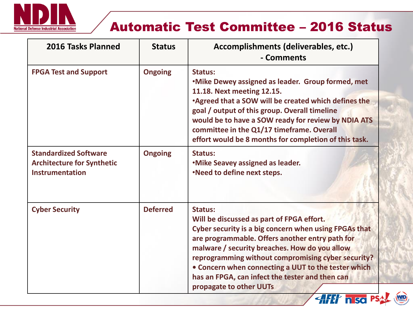

## Automatic Test Committee – 2016 Status

WID

| 2016 Tasks Planned                                                                          | <b>Status</b>   | Accomplishments (deliverables, etc.)<br>- Comments                                                                                                                                                                                                                                                                                                                                                                                                                                           |
|---------------------------------------------------------------------------------------------|-----------------|----------------------------------------------------------------------------------------------------------------------------------------------------------------------------------------------------------------------------------------------------------------------------------------------------------------------------------------------------------------------------------------------------------------------------------------------------------------------------------------------|
| <b>FPGA Test and Support</b>                                                                | <b>Ongoing</b>  | <b>Status:</b><br>.Mike Dewey assigned as leader. Group formed, met<br>11.18. Next meeting 12.15.<br>. Agreed that a SOW will be created which defines the<br>goal / output of this group. Overall timeline<br>would be to have a SOW ready for review by NDIA ATS<br>committee in the Q1/17 timeframe. Overall<br>effort would be 8 months for completion of this task.                                                                                                                     |
| <b>Standardized Software</b><br><b>Architecture for Synthetic</b><br><b>Instrumentation</b> | <b>Ongoing</b>  | <b>Status:</b><br><b>.Mike Seavey assigned as leader.</b><br>.Need to define next steps.                                                                                                                                                                                                                                                                                                                                                                                                     |
| <b>Cyber Security</b>                                                                       | <b>Deferred</b> | <b>Status:</b><br>Will be discussed as part of FPGA effort.<br>Cyber security is a big concern when using FPGAs that<br>are programmable. Offers another entry path for<br>malware / security breaches. How do you allow<br>reprogramming without compromising cyber security?<br>• Concern when connecting a UUT to the tester which<br>has an FPGA, can infect the tester and then can<br>propagate to other UUTs<br>$\mathcal{A}$ $\mathcal{H}$ $\mathcal{H}$ $\mathcal{H}$ $\mathcal{H}$ |